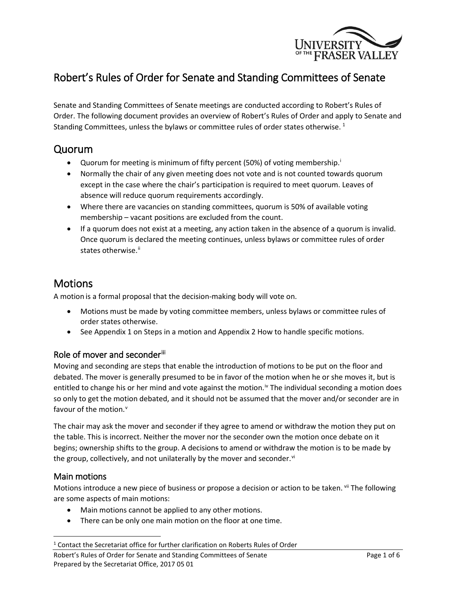

# Robert's Rules of Order for Senate and Standing Committees of Senate

Senate and Standing Committees of Senate meetings are conducted according to Robert's Rules of Order. The following document provides an overview of Robert's Rules of Order and apply to Senate and Standing Committees, unless the bylaws or committee rules of order states otherwise.  $^1$  $^1$ 

## Quorum

- Quorum for meet[i](#page-5-0)ng is minimum of fifty percent (50%) of voting membership.<sup>i</sup>
- Normally the chair of any given meeting does not vote and is not counted towards quorum except in the case where the chair's participation is required to meet quorum. Leaves of absence will reduce quorum requirements accordingly.
- Where there are vacancies on standing committees, quorum is 50% of available voting membership – vacant positions are excluded from the count.
- If a quorum does not exist at a meeting, any action taken in the absence of a quorum is invalid. Once quorum is declared the meeting continues, unless bylaws or committee rules of order states otherwise.<sup>[ii](#page-5-1)</sup>

# Motions

A motion is a formal proposal that the decision-making body will vote on.

- Motions must be made by voting committee members, unless bylaws or committee rules of order states otherwise.
- See Appendix 1 on Steps in a motion and Appendix 2 How to handle specific motions.

## Role of mover and seconderill

Moving and seconding are steps that enable the introduction of motions to be put on the floor and debated. The mover is generally presumed to be in favor of the motion when he or she moves it, but is entitled to change his or her mind and vote against the motion.<sup> $iv$ </sup> The individual seconding a motion does so only to get the motion debated, and it should not be assumed that the mover and/or seconder are in fa[v](#page-5-4)our of the motion.<sup>v</sup>

The chair may ask the mover and seconder if they agree to amend or withdraw the motion they put on the table. This is incorrect. Neither the mover nor the seconder own the motion once debate on it begins; ownership shifts to the group. A decisions to amend or withdraw the motion is to be made by the group, collectively, and not unilaterally by the mover and seconder. $\mathbf{v}^{\text{t}}$ 

## Main motions

Motions introduce a new piece of business or propose a decision or action to be taken. Vil The following are some aspects of main motions:

- Main motions cannot be applied to any other motions.
- There can be only one main motion on the floor at one time.

Robert's Rules of Order for Senate and Standing Committees of Senate Page 1 of 6 Prepared by the Secretariat Office, 2017 05 01

<span id="page-0-0"></span><sup>&</sup>lt;sup>1</sup> Contact the Secretariat office for further clarification on Roberts Rules of Order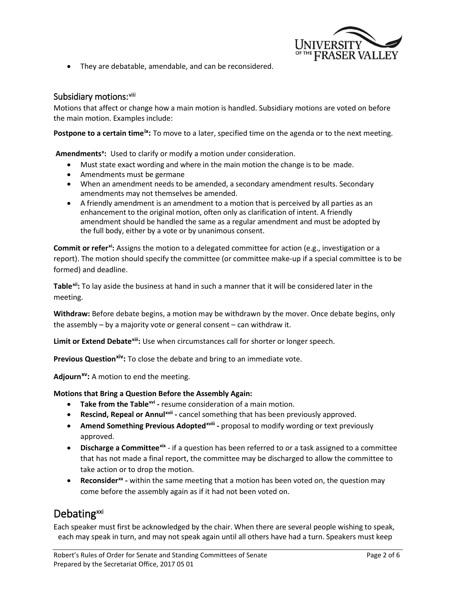

• They are debatable, amendable, and can be reconsidered.

#### Subsidiary motions: <sup>[viii](#page-5-7)</sup>

Motions that affect or change how a main motion is handled. Subsidiary motions are voted on before the main motion. Examples include:

**Postpone to a certain time<sup>[ix](#page-5-8)</sup>**: To move to a later, specified time on the agenda or to the next meeting.

Amendments<sup>[x](#page-5-9)</sup>: Used to clarify or modify a motion under consideration.

- Must state exact wording and where in the main motion the change is to be made.
- Amendments must be germane
- When an amendment needs to be amended, a secondary amendment results. Secondary amendments may not themselves be amended.
- A friendly amendment is an amendment to a motion that is perceived by all parties as an enhancement to the original motion, often only as clarification of intent. A friendly amendment should be handled the same as a regular amendment and must be adopted by the full body, either by a vote or by unanimous consent.

**Commit or refer[xi:](#page-5-10)** Assigns the motion to a delegated committee for action (e.g., investigation or a report). The motion should specify the committee (or committee make-up if a special committee is to be formed) and deadline.

**Table[xii](#page-5-11):** To lay aside the business at hand in such a manner that it will be considered later in the meeting.

**Withdraw:** Before debate begins, a motion may be withdrawn by the mover. Once debate begins, only the assembly – by a majority vote or general consent – can withdraw it.

**Limit or Extend Debate[xiii:](#page-5-12)** Use when circumstances call for shorter or longer speech.

**Previous Question<sup>[xiv](#page-5-13)</sup>:** To close the debate and bring to an immediate vote.

**Adjourn[xv](#page-5-14):** A motion to end the meeting.

**Motions that Bring a Question Before the Assembly Again:**

- **Take from the Table[xvi](#page-5-15) -** resume consideration of a main motion.
- **Rescind, Repeal or Annul[xvii](#page-5-16) -** cancel something that has been previously approved.
- **Amend Something Previous Adoptedxvill proposal to modify wording or text previously** approved.
- **Discharge a Committee[xix](#page-5-17)** if a question has been referred to or a task assigned to a committee that has not made a final report, the committee may be discharged to allow the committee to take action or to drop the motion.
- **Reconsider[xx](#page-5-18) -** within the same meeting that a motion has been voted on, the question may come before the assembly again as if it had not been voted on.

# Debating<sup>xxi</sup>

Each speaker must first be acknowledged by the chair. When there are several people wishing to speak, each may speak in turn, and may not speak again until all others have had a turn. Speakers must keep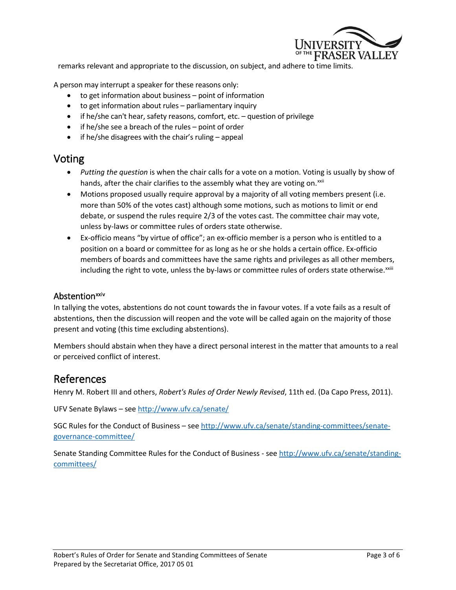

remarks relevant and appropriate to the discussion, on subject, and adhere to time limits.

A person may interrupt a speaker for these reasons only:

- to get information about business point of information
- to get information about rules parliamentary inquiry
- if he/she can't hear, safety reasons, comfort, etc. question of privilege
- if he/she see a breach of the rules point of order
- if he/she disagrees with the chair's ruling appeal

## Voting

- *Putting the question* is when the chair calls for a vote on a motion. Voting is usually by show of hands, after the chair clarifies to the assembly what they are voting on.<sup>[xxii](#page-5-20)</sup>
- Motions proposed usually require approval by a majority of all voting members present (i.e. more than 50% of the votes cast) although some motions, such as motions to limit or end debate, or suspend the rules require 2/3 of the votes cast. The committee chair may vote, unless by-laws or committee rules of orders state otherwise.
- Ex-officio means "by virtue of office"; an ex-officio member is a person who is entitled to a position on a board or committee for as long as he or she holds a certain office. Ex-officio members of boards and committees have the same rights and privileges as all other members, [i](#page-5-21)ncluding the right to vote, unless the by-laws or committee rules of orders state otherwise.<sup>xxiii</sup>

#### Abstention<sup>[xxiv](#page-5-22)</sup>

In tallying the votes, abstentions do not count towards the in favour votes. If a vote fails as a result of abstentions, then the discussion will reopen and the vote will be called again on the majority of those present and voting (this time excluding abstentions).

Members should abstain when they have a direct personal interest in the matter that amounts to a real or perceived conflict of interest.

## References

Henry M. Robert III and others, *Robert's Rules of Order Newly Revised*, 11th ed. (Da Capo Press, 2011).

UFV Senate Bylaws – see<http://www.ufv.ca/senate/>

SGC Rules for the Conduct of Business – see [http://www.ufv.ca/senate/standing-committees/senate](http://www.ufv.ca/senate/standing-committees/senate-governance-committee/)[governance-committee/](http://www.ufv.ca/senate/standing-committees/senate-governance-committee/)

Senate Standing Committee Rules for the Conduct of Business - see [http://www.ufv.ca/senate/standing](http://www.ufv.ca/senate/standing-committees/)[committees/](http://www.ufv.ca/senate/standing-committees/)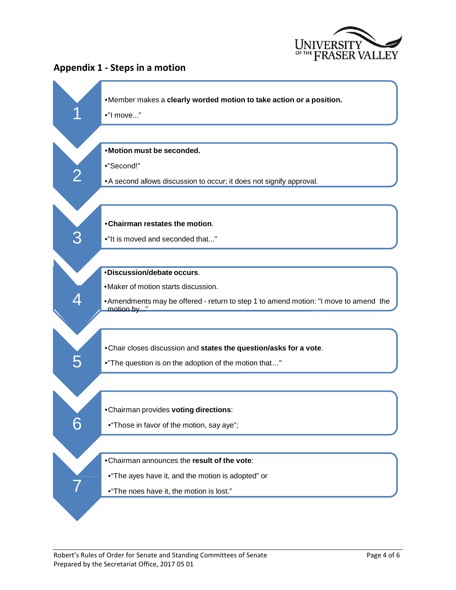

## **Appendix 1 - Steps in a motion**

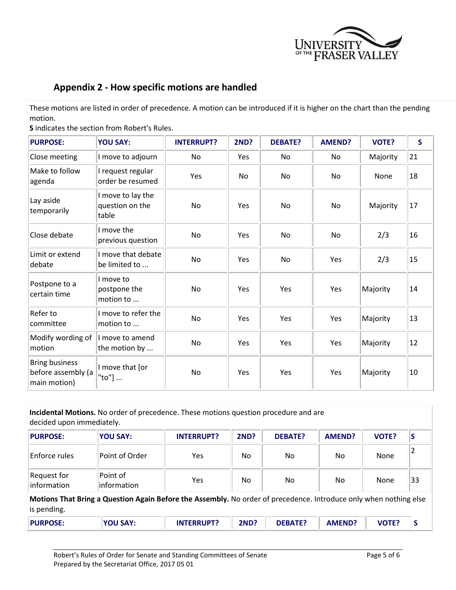

## **Appendix 2 - How specific motions are handled**

These motions are listed in order of precedence. A motion can be introduced if it is higher on the chart than the pending motion.

**S** indicates the section from Robert's Rules.

| <b>PURPOSE:</b>                                             | <b>YOU SAY:</b>                               | <b>INTERRUPT?</b> | <b>2ND?</b> | <b>DEBATE?</b> | <b>AMEND?</b> | <b>VOTE?</b> | $\mathsf{S}$ |
|-------------------------------------------------------------|-----------------------------------------------|-------------------|-------------|----------------|---------------|--------------|--------------|
| Close meeting                                               | I move to adjourn                             | No                | Yes         | No.            | No            | Majority     | 21           |
| Make to follow<br>agenda                                    | I request regular<br>order be resumed         | Yes               | <b>No</b>   | <b>No</b>      | <b>No</b>     | <b>None</b>  | 18           |
| Lay aside<br>temporarily                                    | I move to lay the<br>question on the<br>table | <b>No</b>         | Yes         | <b>No</b>      | <b>No</b>     | Majority     | 17           |
| Close debate                                                | I move the<br>previous question               | No                | Yes         | No             | No            | 2/3          | 16           |
| Limit or extend<br>debate                                   | I move that debate<br>be limited to           | No                | Yes         | No             | Yes           | 2/3          | 15           |
| Postpone to a<br>certain time                               | I move to<br>postpone the<br>motion to        | No                | Yes         | Yes            | Yes           | Majority     | 14           |
| Refer to<br>committee                                       | I move to refer the<br>motion to              | <b>No</b>         | Yes         | Yes            | Yes           | Majority     | 13           |
| Modify wording of<br>motion                                 | I move to amend<br>the motion by              | No                | Yes         | Yes            | Yes           | Majority     | 12           |
| <b>Bring business</b><br>before assembly (a<br>main motion) | I move that [or<br>"to"]                      | <b>No</b>         | Yes         | Yes            | Yes           | Majority     | 10           |

| decided upon immediately.                                                                                                        | Incidental Motions. No order of precedence. These motions question procedure and are |                   |             |                |               |              |    |  |  |
|----------------------------------------------------------------------------------------------------------------------------------|--------------------------------------------------------------------------------------|-------------------|-------------|----------------|---------------|--------------|----|--|--|
| <b>PURPOSE:</b>                                                                                                                  | <b>YOU SAY:</b>                                                                      | <b>INTERRUPT?</b> | <b>2ND?</b> | <b>DEBATE?</b> | <b>AMEND?</b> | <b>VOTE?</b> | C  |  |  |
| Enforce rules                                                                                                                    | Point of Order                                                                       | Yes               | No.         | No             | No.           | None         |    |  |  |
| Request for<br>information                                                                                                       | Point of<br>information                                                              | Yes               | No.         | No             | No            | None         | 33 |  |  |
| Motions That Bring a Question Again Before the Assembly. No order of precedence. Introduce only when nothing else<br>is pending. |                                                                                      |                   |             |                |               |              |    |  |  |
| <b>PURPOSE:</b>                                                                                                                  | <b>YOU SAY:</b>                                                                      | <b>INTERRUPT?</b> | <b>2ND?</b> | <b>DEBATE?</b> | <b>AMEND?</b> | <b>VOTE?</b> | S  |  |  |